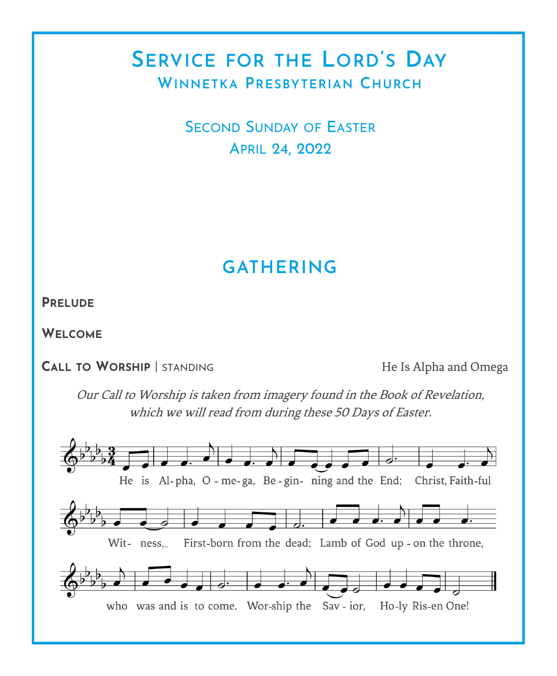# **SERVICE FOR THE LORD'S DAY WINNETKA PRESBYTERIAN CHURCH**

SECOND SUNDAY OF EASTER APRIL 24, 2022

# **GATHERING**

**PRELUDE**

**WELCOME**

**CALL TO WORSHIP** | STANDING He Is Alpha and Omega

Our Call to Worship is taken from imagery found in the Book of Revelation, which we will read from during these 50 Days of Easter.

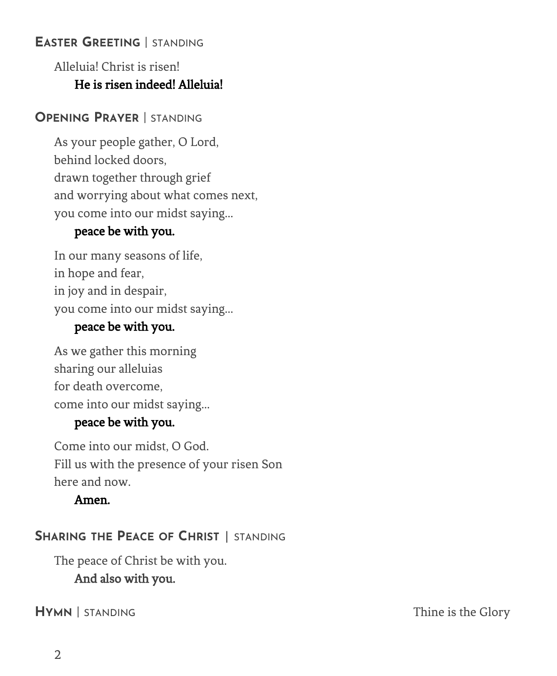### **EASTER GREETING** | STANDING

## Alleluia! Christ is risen! He is risen indeed! Alleluia!

### **OPENING PRAYER** | STANDING

As your people gather, O Lord, behind locked doors, drawn together through grief and worrying about what comes next, you come into our midst saying...

### peace be with you.

In our many seasons of life, in hope and fear, in joy and in despair, you come into our midst saying...

### peace be with you.

As we gather this morning sharing our alleluias for death overcome, come into our midst saying...

### peace be with you.

Come into our midst, O God. Fill us with the presence of your risen Son here and now.

### Amen.

## **SHARING THE PEACE OF CHRIST** | STANDING

The peace of Christ be with you. And also with you.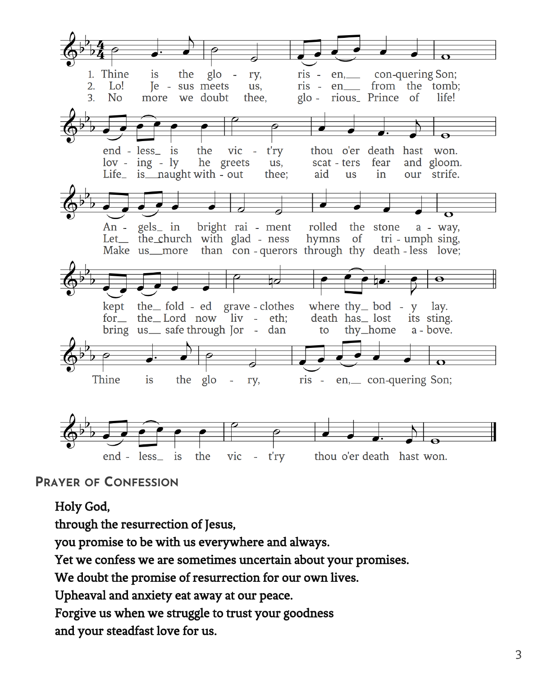

### **PRAYER OF CONFESSION**

### Holy God,

through the resurrection of Jesus,

you promise to be with us everywhere and always.

Yet we confess we are sometimes uncertain about your promises.

We doubt the promise of resurrection for our own lives.

Upheaval and anxiety eat away at our peace.

Forgive us when we struggle to trust your goodness

and your steadfast love for us.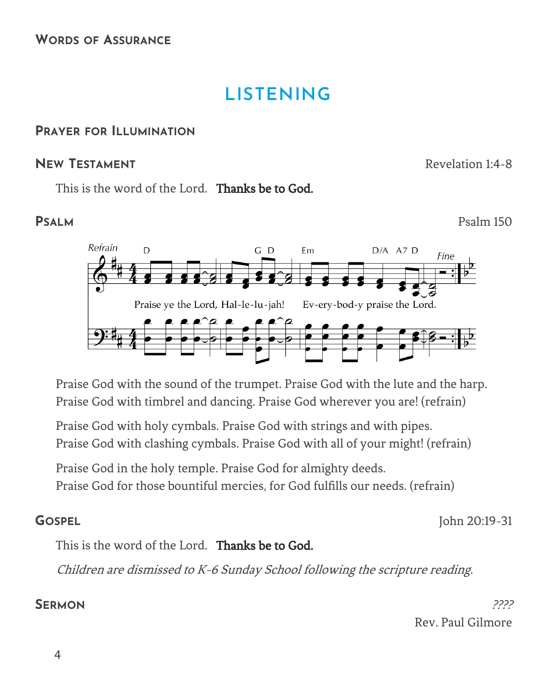# **LISTENING**

### **PRAYER FOR ILLUMINATION**

### **NEW TESTAMENT** Revelation 1:4-8

This is the word of the Lord. **Thanks be to God.** 

**PSALM** Psalm 150



Praise God with the sound of the trumpet. Praise God with the lute and the harp. Praise God with timbrel and dancing. Praise God wherever you are! (refrain)

Praise God with holy cymbals. Praise God with strings and with pipes. Praise God with clashing cymbals. Praise God with all of your might! (refrain)

Praise God in the holy temple. Praise God for almighty deeds.

Praise God for those bountiful mercies, for God fulfills our needs. (refrain)

**GOSPEL** John 20:19-31

This is the word of the Lord. Thanks be to God.

Children are dismissed to K-6 Sunday School following the scripture reading.

**SERMON** 2222 Rev. Paul Gilmore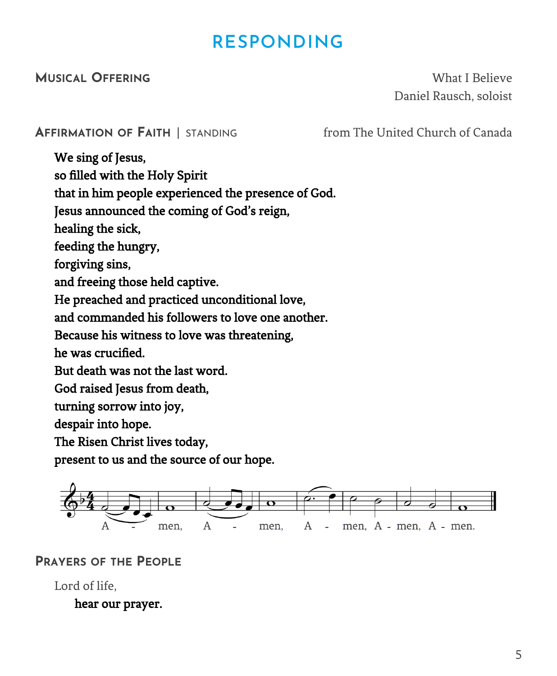# **RESPONDING**

**MUSICAL OFFERING** What I Believe Daniel Rausch, soloist

### **AFFIRMATION OF FAITH** | STANDING from The United Church of Canada

We sing of Jesus, so filled with the Holy Spirit that in him people experienced the presence of God. Jesus announced the coming of God's reign, healing the sick, feeding the hungry, forgiving sins, and freeing those held captive. He preached and practiced unconditional love, and commanded his followers to love one another. Because his witness to love was threatening, he was crucified. But death was not the last word. God raised Jesus from death, turning sorrow into joy, despair into hope. The Risen Christ lives today, present to us and the source of our hope.



**PRAYERS OF THE PEOPLE**

Lord of life,

hear our prayer.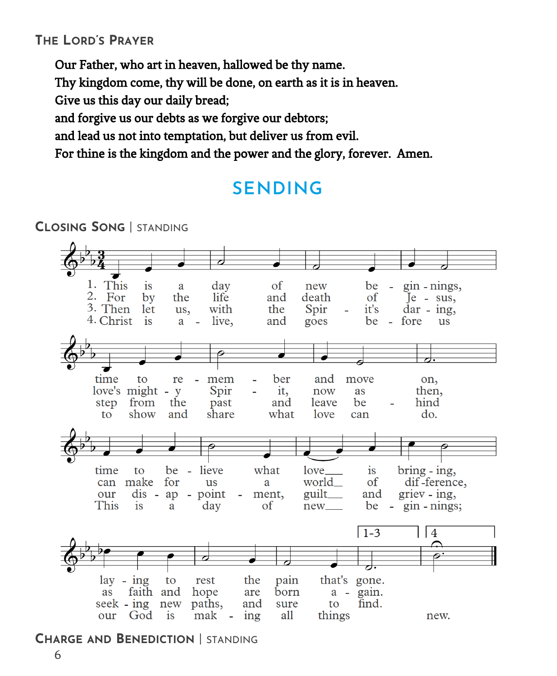### **THE LORD'S PRAYER**

Our Father, who art in heaven, hallowed be thy name.

Thy kingdom come, thy will be done, on earth as it is in heaven.

Give us this day our daily bread;

and forgive us our debts as we forgive our debtors;

and lead us not into temptation, but deliver us from evil.

For thine is the kingdom and the power and the glory, forever. Amen.

# **SENDING**



**CHARGE AND BENEDICTION** | STANDING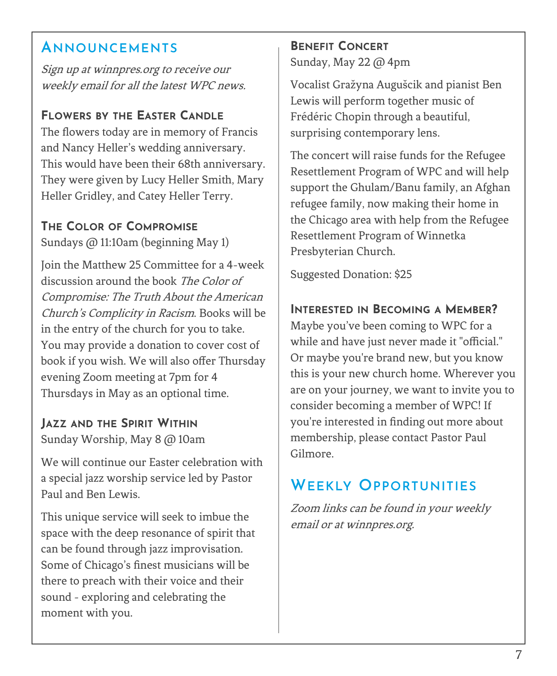## **ANNOUNCEMENTS**

Sign up at winnpres.org to receive our weekly email for all the latest WPC news.

## **FLOWERS BY THE EASTER CANDLE**

The flowers today are in memory of Francis and Nancy Heller's wedding anniversary. This would have been their 68th anniversary. They were given by Lucy Heller Smith, Mary Heller Gridley, and Catey Heller Terry.

### **THE COLOR OF COMPROMISE**

Sundays @ 11:10am (beginning May 1)

Join the Matthew 25 Committee for a 4-week discussion around the book The Color of Compromise: The Truth About the American Church's Complicity in Racism. Books will be in the entry of the church for you to take. You may provide a donation to cover cost of book if you wish. We will also offer Thursday evening Zoom meeting at 7pm for 4 Thursdays in May as an optional time.

## **JAZZ AND THE SPIRIT WITHIN**

Sunday Worship, May 8 @ 10am

We will continue our Easter celebration with a special jazz worship service led by Pastor Paul and Ben Lewis.

This unique service will seek to imbue the space with the deep resonance of spirit that can be found through jazz improvisation. Some of Chicago's finest musicians will be there to preach with their voice and their sound - exploring and celebrating the moment with you.

# **BENEFIT CONCERT**

Sunday, May 22 @ 4pm

Vocalist Gražyna Augušcik and pianist Ben Lewis will perform together music of Frédéric Chopin through a beautiful, surprising contemporary lens.

The concert will raise funds for the Refugee Resettlement Program of WPC and will help support the Ghulam/Banu family, an Afghan refugee family, now making their home in the Chicago area with help from the Refugee Resettlement Program of Winnetka Presbyterian Church.

Suggested Donation: \$25

### **INTERESTED IN BECOMING A MEMBER?**

Maybe you've been coming to WPC for a while and have just never made it "official." Or maybe you're brand new, but you know this is your new church home. Wherever you are on your journey, we want to invite you to consider becoming a member of WPC! If you're interested in finding out more about membership, please contact Pastor Paul Gilmore.

# **WEEKLY OPPORTUNITIES**

Zoom links can be found in your weekly email or at winnpres.org.